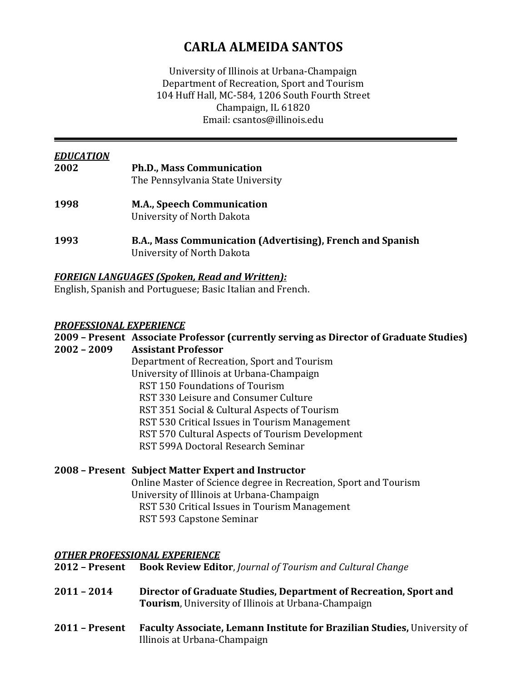# **CARLA ALMEIDA SANTOS**

University of Illinois at Urbana-Champaign Department of Recreation, Sport and Tourism 104 Huff Hall, MC-584, 1206 South Fourth Street Champaign, IL 61820 Email: csantos@illinois.edu 

| <b>EDUCATION</b><br>2002 | <b>Ph.D., Mass Communication</b><br>The Pennsylvania State University                    |
|--------------------------|------------------------------------------------------------------------------------------|
| 1998                     | <b>M.A., Speech Communication</b><br>University of North Dakota                          |
| 1993                     | B.A., Mass Communication (Advertising), French and Spanish<br>University of North Dakota |

# *FOREIGN LANGUAGES (Spoken, Read and Written):*

English, Spanish and Portuguese; Basic Italian and French.

## *PROFESSIONAL EXPERIENCE*

|             | 2009 - Present Associate Professor (currently serving as Director of Graduate Studies) |
|-------------|----------------------------------------------------------------------------------------|
| 2002 - 2009 | <b>Assistant Professor</b>                                                             |
|             | Department of Recreation, Sport and Tourism                                            |
|             | University of Illinois at Urbana-Champaign                                             |
|             | <b>RST 150 Foundations of Tourism</b>                                                  |
|             | RST 330 Leisure and Consumer Culture                                                   |
|             | RST 351 Social & Cultural Aspects of Tourism                                           |
|             | RST 530 Critical Issues in Tourism Management                                          |
|             | RST 570 Cultural Aspects of Tourism Development                                        |
|             | RST 599A Doctoral Research Seminar                                                     |
|             |                                                                                        |

## **2008 – Present Subject Matter Expert and Instructor**

Online Master of Science degree in Recreation, Sport and Tourism University of Illinois at Urbana-Champaign RST 530 Critical Issues in Tourism Management RST 593 Capstone Seminar

## *OTHER PROFESSIONAL EXPERIENCE*

- **2012 – Present Book Review Editor**, *Journal of Tourism and Cultural Change*
- **2011 – 2014 Director of Graduate Studies, Department of Recreation, Sport and Tourism**, University of Illinois at Urbana-Champaign
- **2011 – Present Faculty Associate, Lemann Institute for Brazilian Studies,** University of Illinois at Urbana‐Champaign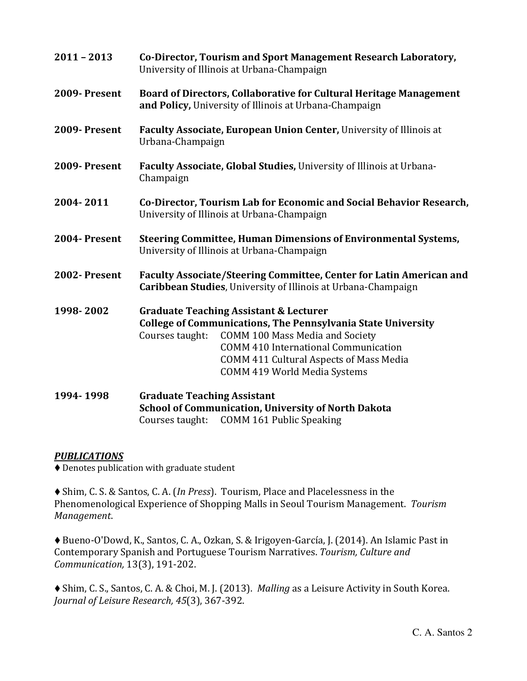| $2011 - 2013$ | Co-Director, Tourism and Sport Management Research Laboratory,<br>University of Illinois at Urbana-Champaign                                                                                                                                                                                                           |
|---------------|------------------------------------------------------------------------------------------------------------------------------------------------------------------------------------------------------------------------------------------------------------------------------------------------------------------------|
| 2009-Present  | Board of Directors, Collaborative for Cultural Heritage Management<br>and Policy, University of Illinois at Urbana-Champaign                                                                                                                                                                                           |
| 2009-Present  | Faculty Associate, European Union Center, University of Illinois at<br>Urbana-Champaign                                                                                                                                                                                                                                |
| 2009-Present  | Faculty Associate, Global Studies, University of Illinois at Urbana-<br>Champaign                                                                                                                                                                                                                                      |
| 2004-2011     | Co-Director, Tourism Lab for Economic and Social Behavior Research,<br>University of Illinois at Urbana-Champaign                                                                                                                                                                                                      |
| 2004-Present  | <b>Steering Committee, Human Dimensions of Environmental Systems,</b><br>University of Illinois at Urbana-Champaign                                                                                                                                                                                                    |
| 2002-Present  | <b>Faculty Associate/Steering Committee, Center for Latin American and</b><br>Caribbean Studies, University of Illinois at Urbana-Champaign                                                                                                                                                                            |
| 1998-2002     | <b>Graduate Teaching Assistant &amp; Lecturer</b><br><b>College of Communications, The Pennsylvania State University</b><br><b>COMM 100 Mass Media and Society</b><br>Courses taught:<br><b>COMM 410 International Communication</b><br>COMM 411 Cultural Aspects of Mass Media<br><b>COMM 419 World Media Systems</b> |
| 1994-1998     | <b>Graduate Teaching Assistant</b><br><b>School of Communication, University of North Dakota</b><br><b>COMM 161 Public Speaking</b><br>Courses taught:                                                                                                                                                                 |

# **PUBLICATIONS**

 $\blacklozenge$  Denotes publication with graduate student

◆ Shim, C. S. & Santos, C. A. (*In Press*). Tourism, Place and Placelessness in the Phenomenological Experience of Shopping Malls in Seoul Tourism Management. Tourism *Management*. 

◆ Bueno-O'Dowd, K., Santos, C. A., Ozkan, S. & Irigoyen-García, J. (2014). An Islamic Past in Contemporary Spanish and Portuguese Tourism Narratives. *Tourism, Culture and Communication,* 13(3), 191‐202. 

◆ Shim, C. S., Santos, C. A. & Choi, M. J. (2013). *Malling* as a Leisure Activity in South Korea. *Journal of Leisure Research, 45*(3), 367‐392.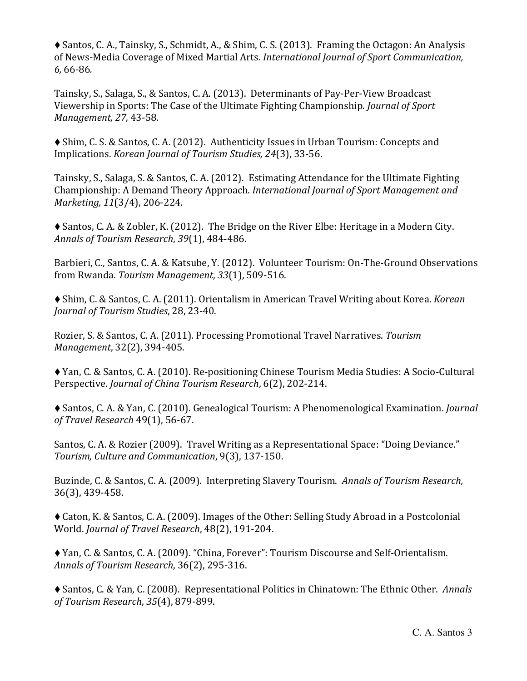$\blacklozenge$  Santos, C. A., Tainsky, S., Schmidt, A., & Shim, C. S. (2013). Framing the Octagon: An Analysis of News‐Media Coverage of Mixed Martial Arts. *International Journal of Sport Communication, 6,* 66‐86*.*

Tainsky, S., Salaga, S., & Santos, C. A. (2013). Determinants of Pay-Per-View Broadcast Viewership in Sports: The Case of the Ultimate Fighting Championship. *Journal of Sport Management, 27,* 43‐58*.*

◆ Shim, C. S. & Santos, C. A. (2012). Authenticity Issues in Urban Tourism: Concepts and Implications. *Korean Journal of Tourism Studies, 24*(3), 33‐56.

Tainsky, S., Salaga, S. & Santos, C. A. (2012). Estimating Attendance for the Ultimate Fighting Championship: A Demand Theory Approach. *International Journal of Sport Management and Marketing, 11*(3/4), 206‐224*.*

◆ Santos, C. A. & Zobler, K. (2012). The Bridge on the River Elbe: Heritage in a Modern City. *Annals of Tourism Research*, *39*(1), 484‐486. 

Barbieri, C., Santos, C. A. & Katsube, Y. (2012). Volunteer Tourism: On-The-Ground Observations from Rwanda. *Tourism Management*, *33*(1), 509‐516. 

◆ Shim, C. & Santos, C. A. (2011). Orientalism in American Travel Writing about Korea. *Korean Journal of Tourism Studies*, 28, 23‐40. 

Rozier, S. & Santos, C. A. (2011). Processing Promotional Travel Narratives. Tourism *Management*, 32(2), 394-405.

◆ Yan, C. & Santos, C. A. (2010). Re-positioning Chinese Tourism Media Studies: A Socio-Cultural Perspective. *Journal of China Tourism Research*, 6(2), 202‐214. 

◆ Santos, C. A. & Yan, C. (2010). Genealogical Tourism: A Phenomenological Examination. *Journal of Travel Research* 49(1), 56‐67. 

Santos, C. A. & Rozier (2009). Travel Writing as a Representational Space: "Doing Deviance." *Tourism, Culture and Communication*, 9(3), 137‐150. 

Buzinde, C. & Santos, C. A. (2009). Interpreting Slavery Tourism. *Annals of Tourism Research,* 36(3), 439‐458.

 $\blacklozenge$  Caton, K. & Santos, C. A. (2009). Images of the Other: Selling Study Abroad in a Postcolonial World. *Journal of Travel Research*, 48(2), 191‐204. 

◆ Yan, C. & Santos, C. A. (2009). "China, Forever": Tourism Discourse and Self-Orientalism. *Annals of Tourism Research*, 36(2), 295‐316. 

◆ Santos, C. & Yan, C. (2008). Representational Politics in Chinatown: The Ethnic Other. *Annals of Tourism Research*, *35*(4), 879‐899.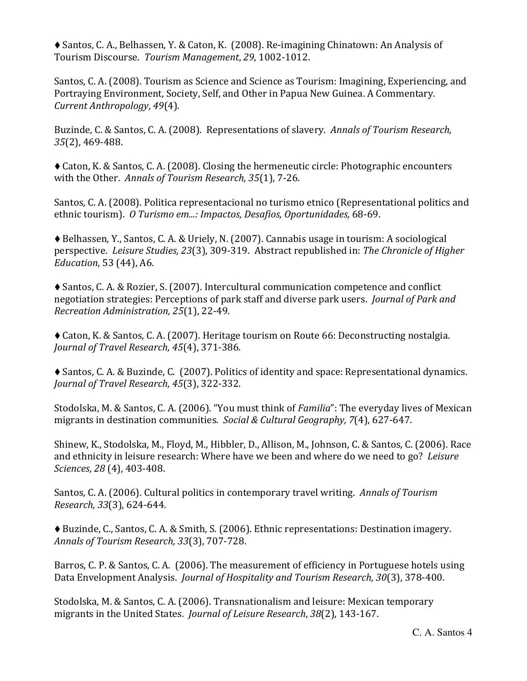◆ Santos, C. A., Belhassen, Y. & Caton, K. (2008). Re-imagining Chinatown: An Analysis of Tourism Discourse. *Tourism Management*, *29*, 1002‐1012. 

Santos, C. A. (2008). Tourism as Science and Science as Tourism: Imagining, Experiencing, and Portraying Environment, Society, Self, and Other in Papua New Guinea. A Commentary. *Current Anthropology, 49(4).* 

Buzinde, C. & Santos, C. A. (2008). Representations of slavery. *Annals of Tourism Research, 35*(2), 469‐488. 

◆ Caton, K. & Santos, C. A. (2008). Closing the hermeneutic circle: Photographic encounters with the Other. Annals of Tourism Research, 35(1), 7-26.

Santos, C. A. (2008). Politica representacional no turismo etnico (Representational politics and ethnic tourism). *O Turismo em...: Impactos, Desafios, Oportunidades,* 68‐69. 

 $\blacklozenge$  Belhassen, Y., Santos, C. A. & Uriely, N. (2007). Cannabis usage in tourism: A sociological perspective. *Leisure Studies, 23*(3), 309‐319. Abstract republished in: *The Chronicle of Higher Education*, 53 (44), A6.

◆ Santos, C. A. & Rozier, S. (2007). Intercultural communication competence and conflict negotiation strategies: Perceptions of park staff and diverse park users. *Journal of Park and Recreation Administration, 25*(1), 22‐49. 

◆ Caton, K. & Santos, C. A. (2007). Heritage tourism on Route 66: Deconstructing nostalgia. *Journal of Travel Research, 45*(4), 371‐386. 

◆ Santos, C. A. & Buzinde, C. (2007). Politics of identity and space: Representational dynamics. *Journal of Travel Research, 45*(3), 322‐332. 

Stodolska, M. & Santos, C. A. (2006). "You must think of *Familia*": The everyday lives of Mexican migrants in destination communities. *Social & Cultural Geography*, 7(4), 627-647.

Shinew, K., Stodolska, M., Floyd, M., Hibbler, D., Allison, M., Johnson, C. & Santos, C. (2006). Race and ethnicity in leisure research: Where have we been and where do we need to go? *Leisure Sciences, 28* (4), 403-408.

Santos, C. A. (2006). Cultural politics in contemporary travel writing. Annals of Tourism *Research, 33*(3), 624‐644.

◆ Buzinde, C., Santos, C. A. & Smith, S. (2006). Ethnic representations: Destination imagery. *Annals of Tourism Research, 33*(3), 707‐728.

Barros, C. P. & Santos, C. A. (2006). The measurement of efficiency in Portuguese hotels using Data Envelopment Analysis. *Journal of Hospitality and Tourism Research, 30*(3), 378‐400.

Stodolska, M. & Santos, C. A. (2006). Transnationalism and leisure: Mexican temporary migrants in the United States. *Journal of Leisure Research*, 38(2), 143-167.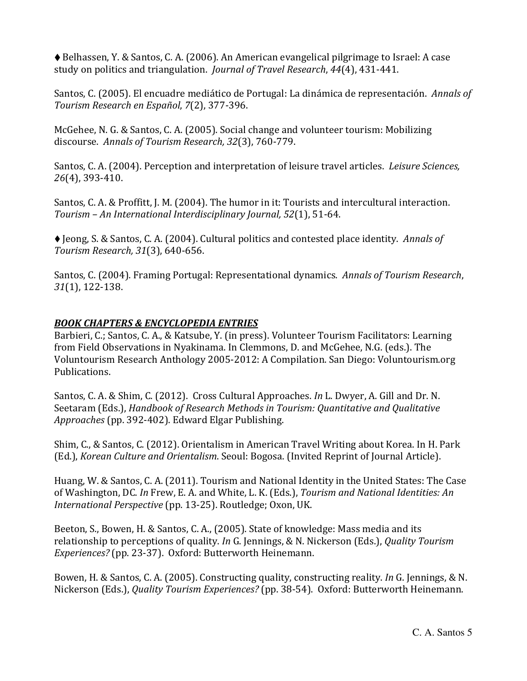◆ Belhassen, Y. & Santos, C. A. (2006). An American evangelical pilgrimage to Israel: A case study on politics and triangulation. *Journal of Travel Research*, 44(4), 431-441.

Santos, C. (2005). El encuadre mediático de Portugal: La dinámica de representación. Annals of *Tourism Research en Español*, *7*(2), 377‐396. 

McGehee, N. G. & Santos, C. A. (2005). Social change and volunteer tourism: Mobilizing discourse. *Annals of Tourism Research, 32*(3), 760‐779.

Santos, C. A. (2004). Perception and interpretation of leisure travel articles. *Leisure Sciences*, *26*(4), 393‐410. 

Santos, C. A. & Proffitt, J. M. (2004). The humor in it: Tourists and intercultural interaction. *Tourism – An International Interdisciplinary Journal, 52*(1), 51‐64. 

◆ Jeong, S. & Santos, C. A. (2004). Cultural politics and contested place identity. Annals of *Tourism Research, 31*(3), 640‐656.

Santos, C. (2004). Framing Portugal: Representational dynamics. *Annals of Tourism Research*, *31*(1), 122‐138. 

# *BOOK CHAPTERS & ENCYCLOPEDIA ENTRIES*

Barbieri, C.; Santos, C. A., & Katsube, Y. (in press). Volunteer Tourism Facilitators: Learning from Field Observations in Nyakinama. In Clemmons, D. and McGehee, N.G. (eds.). The Voluntourism Research Anthology 2005-2012: A Compilation. San Diego: Voluntourism.org Publications. 

Santos, C. A. & Shim, C. (2012). Cross Cultural Approaches. *In* L. Dwyer, A. Gill and Dr. N. Seetaram (Eds.), *Handbook of Research Methods in Tourism: Quantitative and Qualitative Approaches* (pp. 392-402). Edward Elgar Publishing.

Shim, C., & Santos, C. (2012). Orientalism in American Travel Writing about Korea. In H. Park (Ed.), *Korean Culture and Orientalism.* Seoul: Bogosa. (Invited Reprint of Journal Article).

Huang, W. & Santos, C. A. (2011). Tourism and National Identity in the United States: The Case of Washington, DC. *In* Frew, E. A. and White, L. K. (Eds.), *Tourism and National Identities: An International Perspective* (pp. 13-25). Routledge; Oxon, UK.

Beeton, S., Bowen, H. & Santos, C. A., (2005). State of knowledge: Mass media and its relationship to perceptions of quality. *In* G. Jennings, & N. Nickerson (Eds.), *Quality Tourism* Experiences? (pp. 23-37). Oxford: Butterworth Heinemann.

Bowen, H. & Santos, C. A. (2005). Constructing quality, constructing reality. *In* G. Jennings, & N. Nickerson (Eds.), *Quality Tourism Experiences?* (pp. 38-54). Oxford: Butterworth Heinemann.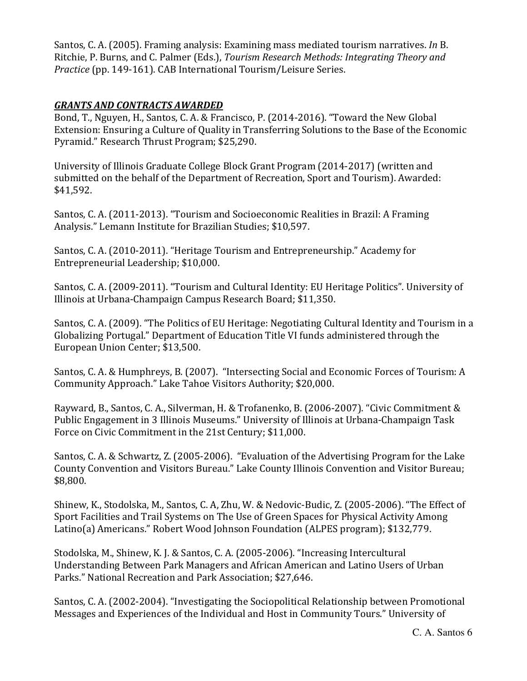Santos, C. A. (2005). Framing analysis: Examining mass mediated tourism narratives. *In* B. Ritchie, P. Burns, and C. Palmer (Eds.), *Tourism Research Methods: Integrating Theory and Practice* (pp. 149-161). CAB International Tourism/Leisure Series.

# *GRANTS AND CONTRACTS AWARDED*

Bond, T., Nguyen, H., Santos, C. A. & Francisco, P. (2014-2016). "Toward the New Global Extension: Ensuring a Culture of Quality in Transferring Solutions to the Base of the Economic Pyramid." Research Thrust Program; \$25,290.

University of Illinois Graduate College Block Grant Program (2014-2017) (written and submitted on the behalf of the Department of Recreation, Sport and Tourism). Awarded: \$41,592. 

Santos, C. A. (2011-2013). "Tourism and Socioeconomic Realities in Brazil: A Framing Analysis." Lemann Institute for Brazilian Studies; \$10,597.

Santos, C. A. (2010-2011). "Heritage Tourism and Entrepreneurship." Academy for Entrepreneurial Leadership; \$10,000.

Santos, C. A. (2009-2011). "Tourism and Cultural Identity: EU Heritage Politics". University of Illinois at Urbana-Champaign Campus Research Board; \$11,350.

Santos, C. A. (2009). "The Politics of EU Heritage: Negotiating Cultural Identity and Tourism in a Globalizing Portugal." Department of Education Title VI funds administered through the European Union Center; \$13,500.

Santos, C. A. & Humphreys, B. (2007). "Intersecting Social and Economic Forces of Tourism: A Community Approach." Lake Tahoe Visitors Authority; \$20,000.

Rayward, B., Santos, C. A., Silverman, H. & Trofanenko, B. (2006-2007). "Civic Commitment & Public Engagement in 3 Illinois Museums." University of Illinois at Urbana-Champaign Task Force on Civic Commitment in the 21st Century; \$11,000.

Santos, C. A. & Schwartz, Z. (2005-2006). "Evaluation of the Advertising Program for the Lake County Convention and Visitors Bureau." Lake County Illinois Convention and Visitor Bureau; \$8,800.

Shinew, K., Stodolska, M., Santos, C. A, Zhu, W. & Nedovic-Budic, Z. (2005-2006). "The Effect of Sport Facilities and Trail Systems on The Use of Green Spaces for Physical Activity Among Latino(a) Americans." Robert Wood Johnson Foundation (ALPES program); \$132,779.

Stodolska, M., Shinew, K. J. & Santos, C. A. (2005-2006). "Increasing Intercultural Understanding Between Park Managers and African American and Latino Users of Urban Parks." National Recreation and Park Association; \$27,646.

Santos, C. A. (2002-2004). "Investigating the Sociopolitical Relationship between Promotional Messages and Experiences of the Individual and Host in Community Tours." University of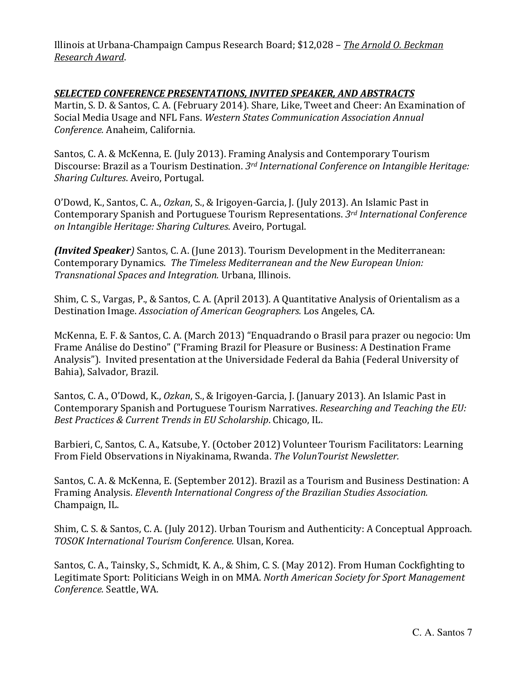Illinois at Urbana‐Champaign Campus Research Board; \$12,028 – *The Arnold O. Beckman Research Award*. 

## *SELECTED CONFERENCE PRESENTATIONS, INVITED SPEAKER, AND ABSTRACTS*

Martin, S. D. & Santos, C. A. (February 2014). Share, Like, Tweet and Cheer: An Examination of Social Media Usage and NFL Fans. *Western States Communication Association Annual Conference.* Anaheim, California. 

Santos, C. A. & McKenna, E. (July 2013). Framing Analysis and Contemporary Tourism Discourse: Brazil as a Tourism Destination. *3rd International Conference on Intangible Heritage: Sharing Cultures*. Aveiro, Portugal. 

O'Dowd, K., Santos, C. A., Ozkan, S., & Irigoyen-Garcia, J. (July 2013). An Islamic Past in Contemporary Spanish and Portuguese Tourism Representations. *3rd International Conference on Intangible Heritage: Sharing Cultures*. Aveiro, Portugal. 

**(Invited Speaker**) Santos, C. A. (June 2013). Tourism Development in the Mediterranean: Contemporary Dynamics. *The Timeless Mediterranean and the New European Union: Transnational Spaces and Integration.* Urbana, Illinois. 

Shim, C. S., Vargas, P., & Santos, C. A. (April 2013). A Quantitative Analysis of Orientalism as a Destination Image. Association of American Geographers. Los Angeles, CA.

McKenna, E. F. & Santos, C. A. (March 2013) "Enquadrando o Brasil para prazer ou negocio: Um Frame Análise do Destino" ("Framing Brazil for Pleasure or Business: A Destination Frame Analysis"). Invited presentation at the Universidade Federal da Bahia (Federal University of Bahia), Salvador, Brazil.

Santos, C. A., O'Dowd, K., Ozkan, S., & Irigoyen-Garcia, J. (January 2013). An Islamic Past in Contemporary Spanish and Portuguese Tourism Narratives. *Researching and Teaching the EU: Best Practices & Current Trends in EU Scholarship*. Chicago, IL. 

Barbieri, C, Santos, C. A., Katsube, Y. (October 2012) Volunteer Tourism Facilitators: Learning From Field Observations in Niyakinama, Rwanda. *The VolunTourist Newsletter.*

Santos, C. A. & McKenna, E. (September 2012). Brazil as a Tourism and Business Destination: A Framing Analysis. *Eleventh International Congress of the Brazilian Studies Association.* Champaign, IL.

Shim, C. S. & Santos, C. A. (July 2012). Urban Tourism and Authenticity: A Conceptual Approach. *TOSOK International Tourism Conference.* Ulsan, Korea. 

Santos, C. A., Tainsky, S., Schmidt, K. A., & Shim, C. S. (May 2012). From Human Cockfighting to Legitimate Sport: Politicians Weigh in on MMA. *North American Society for Sport Management Conference.* Seattle, WA.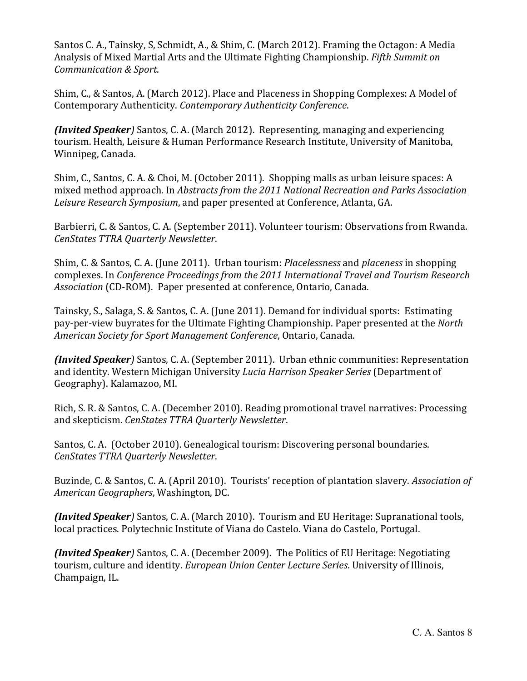Santos C. A., Tainsky, S. Schmidt, A., & Shim, C. (March 2012). Framing the Octagon: A Media Analysis of Mixed Martial Arts and the Ultimate Fighting Championship. *Fifth Summit on Communication & Sport*. 

Shim, C., & Santos, A. (March 2012). Place and Placeness in Shopping Complexes: A Model of Contemporary Authenticity. *Contemporary Authenticity Conference*. 

*(Invited Speaker*) Santos, C. A. (March 2012). Representing, managing and experiencing tourism. Health, Leisure & Human Performance Research Institute, University of Manitoba, Winnipeg, Canada.

Shim, C., Santos, C. A. & Choi, M. (October 2011). Shopping malls as urban leisure spaces: A mixed method approach. In *Abstracts from the 2011 National Recreation and Parks Association Leisure Research Symposium*, and paper presented at Conference, Atlanta, GA.

Barbierri, C. & Santos, C. A. (September 2011). Volunteer tourism: Observations from Rwanda. *CenStates TTRA Quarterly Newsletter*. 

Shim, C. & Santos, C. A. (June 2011). Urban tourism: *Placelessness* and *placeness* in shopping complexes. In *Conference Proceedings from the 2011 International Travel and Tourism Research Association* (CD-ROM). Paper presented at conference, Ontario, Canada.

Tainsky, S., Salaga, S. & Santos, C. A. (June 2011). Demand for individual sports: Estimating pay-per-view buyrates for the Ultimate Fighting Championship. Paper presented at the *North American Society for Sport Management Conference*, Ontario, Canada. 

*(Invited Speaker)* Santos, C. A. (September 2011). Urban ethnic communities: Representation and identity. Western Michigan University *Lucia Harrison Speaker Series* (Department of Geography). Kalamazoo, MI.

Rich, S. R. & Santos, C. A. (December 2010). Reading promotional travel narratives: Processing and skepticism. *CenStates TTRA Quarterly Newsletter*. 

Santos, C. A. (October 2010). Genealogical tourism: Discovering personal boundaries. *CenStates TTRA Quarterly Newsletter*. 

Buzinde, C. & Santos, C. A. (April 2010). Tourists' reception of plantation slavery. *Association of American Geographers*, Washington, DC.

**(Invited Speaker**) Santos, C. A. (March 2010). Tourism and EU Heritage: Supranational tools, local practices. Polytechnic Institute of Viana do Castelo. Viana do Castelo, Portugal.

**(Invited Speaker**) Santos, C. A. (December 2009). The Politics of EU Heritage: Negotiating tourism, culture and identity. *European Union Center Lecture Series*. University of Illinois, Champaign, IL.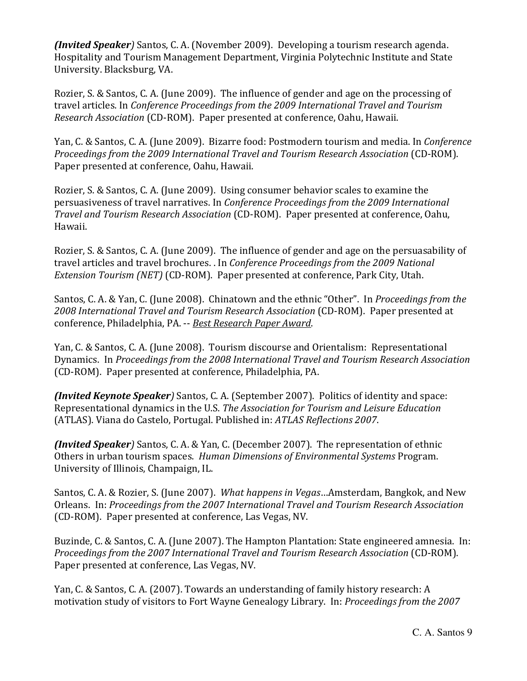*(Invited Speaker*) Santos, C. A. (November 2009). Developing a tourism research agenda. Hospitality and Tourism Management Department, Virginia Polytechnic Institute and State University. Blacksburg, VA.

Rozier, S. & Santos, C. A. (June 2009). The influence of gender and age on the processing of travel articles. In *Conference Proceedings from the 2009 International Travel and Tourism Research Association* (CD-ROM). Paper presented at conference, Oahu, Hawaii.

Yan, C. & Santos, C. A. (June 2009). Bizarre food: Postmodern tourism and media. In *Conference Proceedings from the 2009 International Travel and Tourism Research Association* (CD‐ROM). Paper presented at conference, Oahu, Hawaii.

Rozier, S. & Santos, C. A. (June 2009). Using consumer behavior scales to examine the persuasiveness of travel narratives. In *Conference Proceedings from the 2009 International Travel and Tourism Research Association* (CD‐ROM). Paper presented at conference, Oahu, Hawaii. 

Rozier, S. & Santos, C. A. (June 2009). The influence of gender and age on the persuasability of travel articles and travel brochures. . In *Conference Proceedings from the 2009 National Extension Tourism (NET)* (CD-ROM). Paper presented at conference, Park City, Utah.

Santos, C. A. & Yan, C. (June 2008). Chinatown and the ethnic "Other". In *Proceedings from the 2008 International Travel and Tourism Research Association* (CD‐ROM). Paper presented at conference, Philadelphia, PA. ‐‐ *Best Research Paper Award*. 

Yan, C. & Santos, C. A. (June 2008). Tourism discourse and Orientalism: Representational Dynamics. In *Proceedings from the 2008 International Travel and Tourism Research Association* (CD‐ROM). Paper presented at conference, Philadelphia, PA. 

**(Invited** *Keynote Speaker*) Santos, C. A. (September 2007). Politics of identity and space: Representational dynamics in the U.S. *The Association for Tourism and Leisure Education* (ATLAS). Viana do Castelo, Portugal. Published in: *ATLAS Reflections 2007*. 

**(Invited Speaker**) Santos, C. A. & Yan, C. (December 2007). The representation of ethnic Others in urban tourism spaces. Human Dimensions of *Environmental Systems* Program. University of Illinois, Champaign, IL.

Santos, C. A. & Rozier, S. (June 2007). *What happens in Vegas*...Amsterdam, Bangkok, and New Orleans. In: *Proceedings from the 2007 International Travel and Tourism Research Association* (CD-ROM). Paper presented at conference, Las Vegas, NV.

Buzinde, C. & Santos, C. A. (June 2007). The Hampton Plantation: State engineered amnesia. In: *Proceedings from the 2007 International Travel and Tourism Research Association* (CD‐ROM). Paper presented at conference, Las Vegas, NV.

Yan, C. & Santos, C. A. (2007). Towards an understanding of family history research: A motivation study of visitors to Fort Wayne Genealogy Library. In: *Proceedings from the 2007*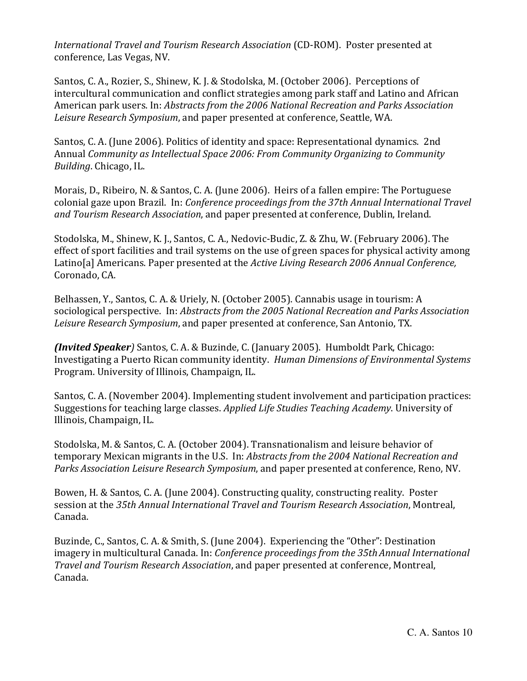*International Travel and Tourism Research Association* (CD‐ROM). Poster presented at conference, Las Vegas, NV.

Santos, C. A., Rozier, S., Shinew, K. J. & Stodolska, M. (October 2006). Perceptions of intercultural communication and conflict strategies among park staff and Latino and African American park users. In: *Abstracts from the 2006 National Recreation and Parks Association Leisure Research Symposium*, and paper presented at conference, Seattle, WA.

Santos, C. A. (June 2006). Politics of identity and space: Representational dynamics. 2nd Annual *Community as Intellectual Space 2006: From Community Organizing to Community Building*. Chicago, IL.

Morais, D., Ribeiro, N. & Santos, C. A. (June 2006). Heirs of a fallen empire: The Portuguese colonial gaze upon Brazil. In: *Conference proceedings from the 37th Annual International Travel* and Tourism Research *Association*, and paper presented at conference, Dublin, Ireland.

Stodolska, M., Shinew, K. J., Santos, C. A., Nedovic-Budic, Z. & Zhu, W. (February 2006). The effect of sport facilities and trail systems on the use of green spaces for physical activity among Latino[a] Americans. Paper presented at the *Active Living Research 2006 Annual Conference*, Coronado, CA.

Belhassen, Y., Santos, C. A. & Uriely, N. (October 2005). Cannabis usage in tourism: A sociological perspective. In: *Abstracts from the 2005 National Recreation and Parks Association* Leisure Research *Symposium*, and paper presented at conference, San Antonio, TX.

*(Invited Speaker*) Santos, C. A. & Buzinde, C. (January 2005). Humboldt Park, Chicago: Investigating a Puerto Rican community identity. *Human Dimensions of Environmental Systems* Program. University of Illinois, Champaign, IL.

Santos, C. A. (November 2004). Implementing student involvement and participation practices: Suggestions for teaching large classes. *Applied Life Studies Teaching Academy*. University of Illinois, Champaign, IL.

Stodolska, M. & Santos, C. A. (October 2004). Transnationalism and leisure behavior of temporary Mexican migrants in the U.S. In: *Abstracts from the 2004 National Recreation and Parks Association Leisure Research Symposium,* and paper presented at conference, Reno, NV.

Bowen, H. & Santos, C. A. (June 2004). Constructing quality, constructing reality. Poster session at the *35th Annual International Travel and Tourism Research Association*, Montreal, Canada. 

Buzinde, C., Santos, C. A. & Smith, S. (June 2004). Experiencing the "Other": Destination imagery in multicultural Canada. In: *Conference proceedings from the 35thAnnual International Travel and Tourism Research Association*, and paper presented at conference, Montreal, Canada.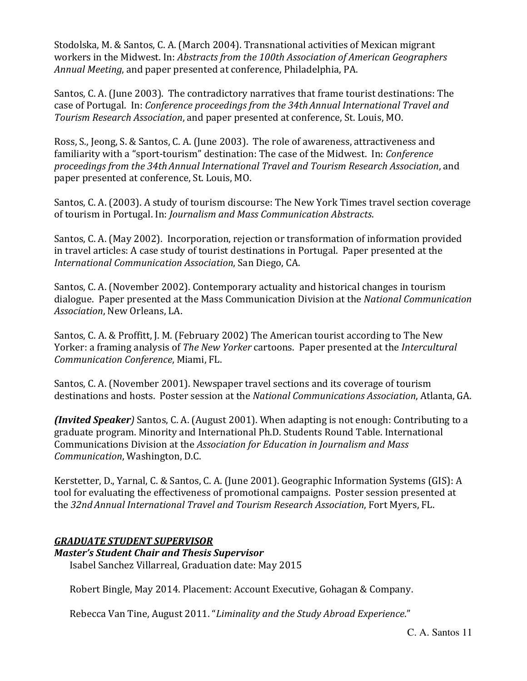Stodolska, M. & Santos, C. A. (March 2004). Transnational activities of Mexican migrant workers in the Midwest. In: *Abstracts from the 100th Association of American Geographers Annual Meeting*, and paper presented at conference, Philadelphia, PA.

Santos, C. A. (June 2003). The contradictory narratives that frame tourist destinations: The case of Portugal. In: *Conference proceedings from the 34thAnnual International Travel and Tourism Research Association*, and paper presented at conference, St. Louis, MO.

Ross, S., Jeong, S. & Santos, C. A. (June 2003). The role of awareness, attractiveness and familiarity with a "sport-tourism" destination: The case of the Midwest. In: *Conference proceedings from the 34thAnnual International Travel and Tourism Research Association*, and paper presented at conference, St. Louis, MO.

Santos, C. A. (2003). A study of tourism discourse: The New York Times travel section coverage of tourism in Portugal. In: *Journalism and Mass Communication Abstracts*. 

Santos, C. A. (May 2002). Incorporation, rejection or transformation of information provided in travel articles: A case study of tourist destinations in Portugal. Paper presented at the *International Communication Association*, San Diego, CA. 

Santos, C. A. (November 2002). Contemporary actuality and historical changes in tourism dialogue. Paper presented at the Mass Communication Division at the *National Communication* Association, New Orleans, LA.

Santos, C. A. & Proffitt, J. M. (February 2002) The American tourist according to The New Yorker: a framing analysis of *The New Yorker* cartoons. Paper presented at the *Intercultural Communication Conference*, Miami, FL. 

Santos, C. A. (November 2001). Newspaper travel sections and its coverage of tourism destinations and hosts. Poster session at the *National Communications Association*, Atlanta, GA. 

*(Invited Speaker*) Santos, C. A. (August 2001). When adapting is not enough: Contributing to a graduate program. Minority and International Ph.D. Students Round Table. International Communications Division at the *Association for Education in Journalism and Mass Communication*, Washington, D.C.

Kerstetter, D., Yarnal, C. & Santos, C. A. (June 2001). Geographic Information Systems (GIS): A tool for evaluating the effectiveness of promotional campaigns. Poster session presented at the *32ndAnnual International Travel and Tourism Research Association*, Fort Myers, FL. 

# *GRADUATE STUDENT SUPERVISOR*

*Master's Student Chair and Thesis Supervisor* Isabel Sanchez Villarreal, Graduation date: May 2015

Robert Bingle, May 2014. Placement: Account Executive, Gohagan & Company.

Rebecca Van Tine, August 2011. "*Liminality and the Study Abroad Experience*."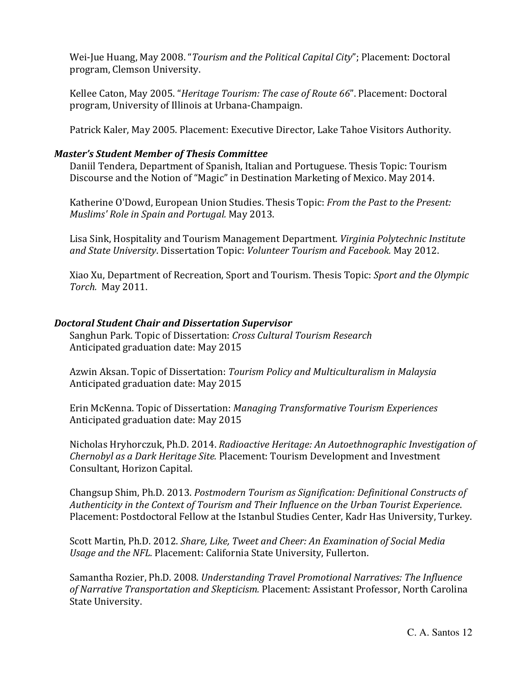Wei‐Jue Huang, May 2008. "*Tourism and the Political Capital City*"; Placement: Doctoral program, Clemson University. 

Kellee Caton, May 2005. "*Heritage Tourism: The case of Route* 66". Placement: Doctoral program, University of Illinois at Urbana-Champaign.

Patrick Kaler, May 2005. Placement: Executive Director, Lake Tahoe Visitors Authority.

## *Master's Student Member of Thesis Committee*

Daniil Tendera, Department of Spanish, Italian and Portuguese. Thesis Topic: Tourism Discourse and the Notion of "Magic" in Destination Marketing of Mexico. May 2014.

Katherine O'Dowd, European Union Studies. Thesis Topic: *From the Past to the Present: Muslims' Role in Spain and Portugal.* May 2013. 

Lisa Sink, Hospitality and Tourism Management Department. *Virginia Polytechnic Institute and State University*. Dissertation Topic: *Volunteer Tourism and Facebook.* May 2012. 

Xiao Xu, Department of Recreation, Sport and Tourism. Thesis Topic: *Sport and the Olympic Torch.* May 2011.

# *Doctoral Student Chair and Dissertation Supervisor*

Sanghun Park. Topic of Dissertation: *Cross Cultural Tourism Research* Anticipated graduation date: May 2015

Azwin Aksan. Topic of Dissertation: *Tourism Policy and Multiculturalism in Malaysia* Anticipated graduation date: May 2015

Erin McKenna. Topic of Dissertation: *Managing Transformative Tourism Experiences* Anticipated graduation date: May 2015

Nicholas Hryhorczuk, Ph.D. 2014. *Radioactive Heritage: An Autoethnographic Investigation of Chernobyl as a Dark Heritage Site.* Placement: Tourism Development and Investment Consultant, Horizon Capital.

Changsup Shim, Ph.D. 2013. *Postmodern Tourism as Signification: Definitional Constructs of Authenticity in the Context of Tourism and Their Influence on the Urban Tourist Experience*. Placement: Postdoctoral Fellow at the Istanbul Studies Center, Kadr Has University, Turkey.

Scott Martin, Ph.D. 2012. *Share, Like, Tweet and Cheer: An Examination of Social Media Usage and the NFL.* Placement: California State University, Fullerton. 

Samantha Rozier, Ph.D. 2008. *Understanding Travel Promotional Narratives: The Influence of Narrative Transportation and Skepticism.* Placement: Assistant Professor, North Carolina State University.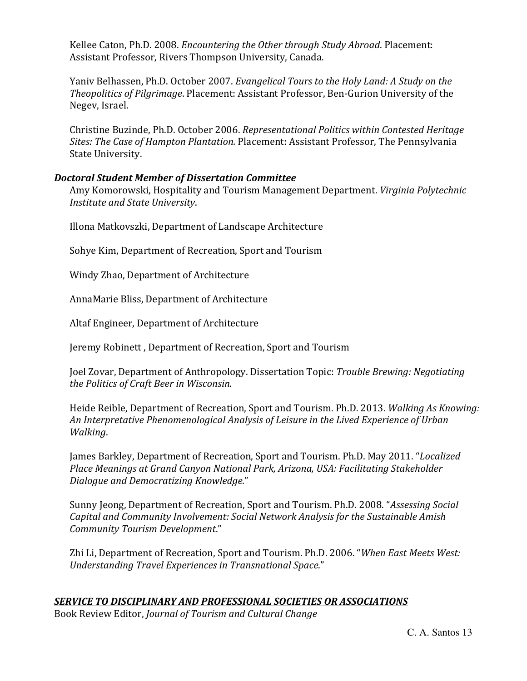Kellee Caton, Ph.D. 2008. *Encountering the Other through Study Abroad*. Placement: Assistant Professor, Rivers Thompson University, Canada.

Yaniv Belhassen, Ph.D. October 2007. *Evangelical Tours to the Holy Land: A Study on the Theopolitics of Pilgrimage*. Placement: Assistant Professor, Ben‐Gurion University of the Negev, Israel.

Christine Buzinde, Ph.D. October 2006. *Representational Politics within Contested Heritage Sites: The Case of Hampton Plantation.* Placement: Assistant Professor, The Pennsylvania State University.

# *Doctoral Student Member of Dissertation Committee*

Amy Komorowski, Hospitality and Tourism Management Department. *Virginia Polytechnic Institute and State University*. 

Illona Matkovszki, Department of Landscape Architecture

Sohye Kim, Department of Recreation, Sport and Tourism

Windy Zhao, Department of Architecture

AnnaMarie Bliss, Department of Architecture

Altaf Engineer, Department of Architecture

Jeremy Robinett, Department of Recreation, Sport and Tourism

Joel Zovar, Department of Anthropology. Dissertation Topic: *Trouble Brewing: Negotiating the Politics of Craft Beer in Wisconsin.*

Heide Reible, Department of Recreation, Sport and Tourism. Ph.D. 2013. *Walking As Knowing: An Interpretative Phenomenological Analysis of Leisure in the Lived Experience of Urban Walking*. 

James Barkley, Department of Recreation, Sport and Tourism. Ph.D. May 2011. "*Localized Place Meanings at Grand Canyon National Park, Arizona, USA: Facilitating Stakeholder Dialogue and Democratizing Knowledge*." 

Sunny Jeong, Department of Recreation, Sport and Tourism. Ph.D. 2008. "Assessing Social *Capital and Community Involvement: Social Network Analysis for the Sustainable Amish Community Tourism Development*." 

Zhi Li, Department of Recreation, Sport and Tourism. Ph.D. 2006. "When East Meets West: *Understanding Travel Experiences in Transnational Space*." 

# *SERVICE TO DISCIPLINARY AND PROFESSIONAL SOCIETIES OR ASSOCIATIONS*

Book Review Editor, *Journal of Tourism and Cultural Change*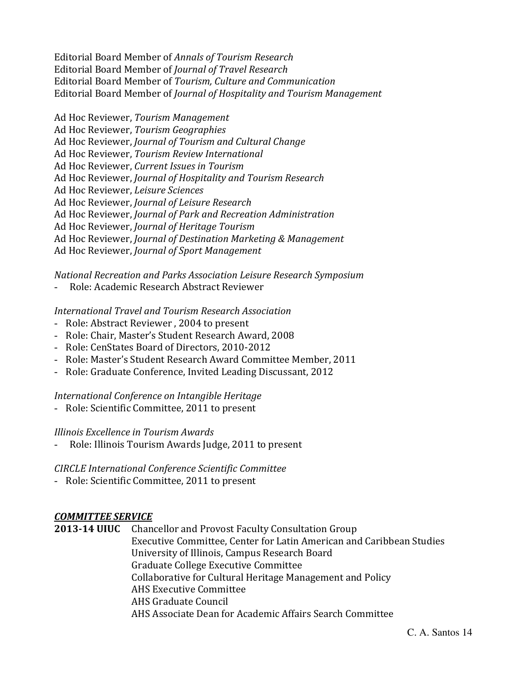Editorial Board Member of *Annals of Tourism Research* Editorial Board Member of *Journal of Travel Research* Editorial Board Member of *Tourism, Culture and Communication*  Editorial Board Member of *Journal of Hospitality and Tourism Management* 

Ad Hoc Reviewer, *Tourism Management* Ad Hoc Reviewer, *Tourism Geographies* Ad Hoc Reviewer, *Journal of Tourism and Cultural Change* Ad Hoc Reviewer, *Tourism Review International* Ad Hoc Reviewer, *Current Issues in Tourism* Ad Hoc Reviewer, *Journal of Hospitality and Tourism Research* Ad Hoc Reviewer, *Leisure Sciences* Ad Hoc Reviewer, *Journal of Leisure Research* Ad Hoc Reviewer, *Journal of Park and Recreation Administration* Ad Hoc Reviewer, *Journal of Heritage Tourism*  Ad Hoc Reviewer, *Journal of Destination Marketing & Management* Ad Hoc Reviewer, *Journal of Sport Management*

*National Recreation and Parks Association Leisure Research Symposium*

- Role: Academic Research Abstract Reviewer

## *International Travel and Tourism Research Association*

- Role: Abstract Reviewer, 2004 to present
- Role: Chair, Master's Student Research Award, 2008
- Role: CenStates Board of Directors, 2010-2012
- Role: Master's Student Research Award Committee Member, 2011
- Role: Graduate Conference, Invited Leading Discussant, 2012

## *International Conference on Intangible Heritage*

- Role: Scientific Committee, 2011 to present

## *Illinois Excellence in Tourism Awards*

- Role: Illinois Tourism Awards Judge, 2011 to present

# *CIRCLE International Conference Scientific Committee*

- Role: Scientific Committee, 2011 to present

# *COMMITTEE SERVICE*

**2013‐14 UIUC** Chancellor and Provost Faculty Consultation Group Executive Committee, Center for Latin American and Caribbean Studies University of Illinois, Campus Research Board Graduate College Executive Committee Collaborative for Cultural Heritage Management and Policy AHS Executive Committee AHS Graduate Council AHS Associate Dean for Academic Affairs Search Committee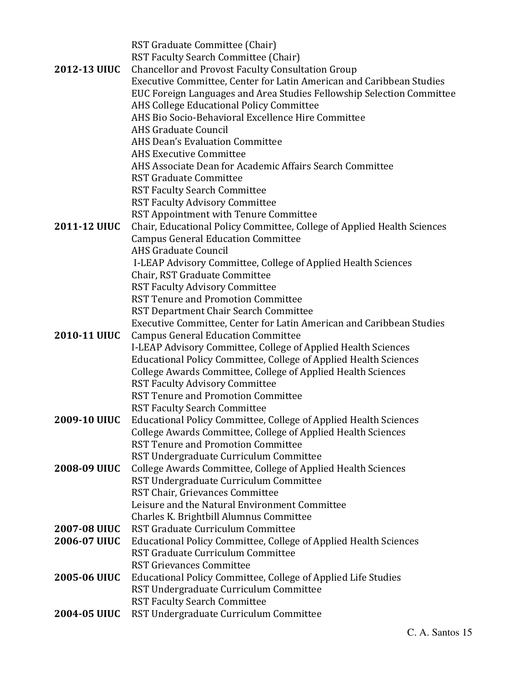|                     | RST Graduate Committee (Chair)                                            |
|---------------------|---------------------------------------------------------------------------|
|                     | <b>RST Faculty Search Committee (Chair)</b>                               |
| 2012-13 UIUC        | <b>Chancellor and Provost Faculty Consultation Group</b>                  |
|                     | Executive Committee, Center for Latin American and Caribbean Studies      |
|                     | EUC Foreign Languages and Area Studies Fellowship Selection Committee     |
|                     | AHS College Educational Policy Committee                                  |
|                     | AHS Bio Socio-Behavioral Excellence Hire Committee                        |
|                     | <b>AHS Graduate Council</b>                                               |
|                     | <b>AHS Dean's Evaluation Committee</b>                                    |
|                     | <b>AHS Executive Committee</b>                                            |
|                     | AHS Associate Dean for Academic Affairs Search Committee                  |
|                     | <b>RST Graduate Committee</b>                                             |
|                     | <b>RST Faculty Search Committee</b>                                       |
|                     | <b>RST Faculty Advisory Committee</b>                                     |
|                     | RST Appointment with Tenure Committee                                     |
| 2011-12 UIUC        | Chair, Educational Policy Committee, College of Applied Health Sciences   |
|                     | <b>Campus General Education Committee</b>                                 |
|                     | <b>AHS Graduate Council</b>                                               |
|                     | I-LEAP Advisory Committee, College of Applied Health Sciences             |
|                     | Chair, RST Graduate Committee                                             |
|                     | <b>RST Faculty Advisory Committee</b>                                     |
|                     | <b>RST Tenure and Promotion Committee</b>                                 |
|                     | RST Department Chair Search Committee                                     |
|                     | Executive Committee, Center for Latin American and Caribbean Studies      |
| 2010-11 UIUC        | <b>Campus General Education Committee</b>                                 |
|                     | I-LEAP Advisory Committee, College of Applied Health Sciences             |
|                     | Educational Policy Committee, College of Applied Health Sciences          |
|                     | College Awards Committee, College of Applied Health Sciences              |
|                     | <b>RST Faculty Advisory Committee</b>                                     |
|                     | <b>RST Tenure and Promotion Committee</b>                                 |
|                     | <b>RST Faculty Search Committee</b>                                       |
| <b>2009-10 UIUC</b> | Educational Policy Committee, College of Applied Health Sciences          |
|                     | College Awards Committee, College of Applied Health Sciences              |
|                     | <b>RST Tenure and Promotion Committee</b>                                 |
|                     | RST Undergraduate Curriculum Committee                                    |
| 2008-09 UIUC        | College Awards Committee, College of Applied Health Sciences              |
|                     | RST Undergraduate Curriculum Committee<br>RST Chair, Grievances Committee |
|                     | Leisure and the Natural Environment Committee                             |
|                     | Charles K. Brightbill Alumnus Committee                                   |
| <b>2007-08 UIUC</b> | RST Graduate Curriculum Committee                                         |
| 2006-07 UIUC        | Educational Policy Committee, College of Applied Health Sciences          |
|                     | RST Graduate Curriculum Committee                                         |
|                     | <b>RST Grievances Committee</b>                                           |
| 2005-06 UIUC        | Educational Policy Committee, College of Applied Life Studies             |
|                     | RST Undergraduate Curriculum Committee                                    |
|                     | <b>RST Faculty Search Committee</b>                                       |
| 2004-05 UIUC        | RST Undergraduate Curriculum Committee                                    |
|                     |                                                                           |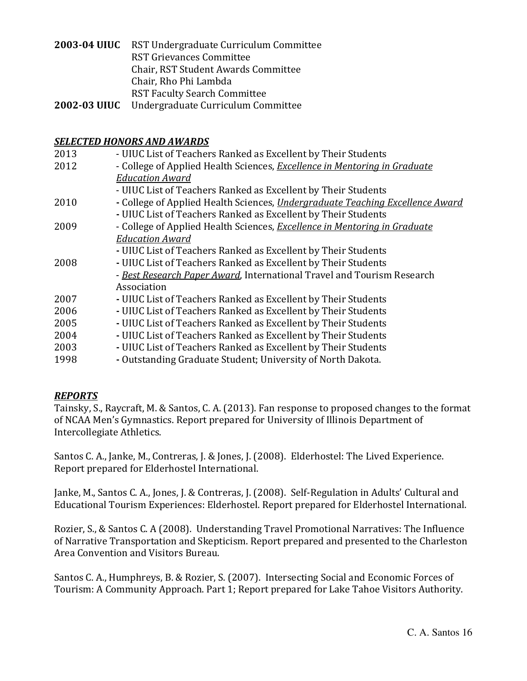| 2003-04 UIUC RST Undergraduate Curriculum Committee |
|-----------------------------------------------------|
| <b>RST Grievances Committee</b>                     |
| Chair, RST Student Awards Committee                 |
| Chair, Rho Phi Lambda                               |
| <b>RST Faculty Search Committee</b>                 |
| 2002-03 UIUC Undergraduate Curriculum Committee     |

#### *SELECTED HONORS AND AWARDS*

| 2013 | - UIUC List of Teachers Ranked as Excellent by Their Students                        |
|------|--------------------------------------------------------------------------------------|
| 2012 | - College of Applied Health Sciences, Excellence in Mentoring in Graduate            |
|      | <b>Education Award</b>                                                               |
|      | - UIUC List of Teachers Ranked as Excellent by Their Students                        |
| 2010 | - College of Applied Health Sciences, <i>Undergraduate Teaching Excellence Award</i> |
|      | - UIUC List of Teachers Ranked as Excellent by Their Students                        |
| 2009 | - College of Applied Health Sciences, Excellence in Mentoring in Graduate            |
|      | <b>Education Award</b>                                                               |
|      | - UIUC List of Teachers Ranked as Excellent by Their Students                        |
| 2008 | - UIUC List of Teachers Ranked as Excellent by Their Students                        |
|      | - Best Research Paper Award, International Travel and Tourism Research               |
|      | Association                                                                          |
| 2007 | - UIUC List of Teachers Ranked as Excellent by Their Students                        |
| 2006 | - UIUC List of Teachers Ranked as Excellent by Their Students                        |
| 2005 | - UIUC List of Teachers Ranked as Excellent by Their Students                        |
| 2004 | - UIUC List of Teachers Ranked as Excellent by Their Students                        |
| 2003 | - UIUC List of Teachers Ranked as Excellent by Their Students                        |
| 1998 | - Outstanding Graduate Student; University of North Dakota.                          |
|      |                                                                                      |

## *REPORTS*

Tainsky, S., Raycraft, M. & Santos, C. A. (2013). Fan response to proposed changes to the format of NCAA Men's Gymnastics. Report prepared for University of Illinois Department of Intercollegiate Athletics.

Santos C. A., Janke, M., Contreras, J. & Jones, J. (2008). Elderhostel: The Lived Experience. Report prepared for Elderhostel International.

Janke, M., Santos C. A., Jones, J. & Contreras, J. (2008). Self-Regulation in Adults' Cultural and Educational Tourism Experiences: Elderhostel. Report prepared for Elderhostel International.

Rozier, S., & Santos C. A (2008). Understanding Travel Promotional Narratives: The Influence of Narrative Transportation and Skepticism. Report prepared and presented to the Charleston Area Convention and Visitors Bureau.

Santos C. A., Humphreys, B. & Rozier, S. (2007). Intersecting Social and Economic Forces of Tourism: A Community Approach. Part 1; Report prepared for Lake Tahoe Visitors Authority.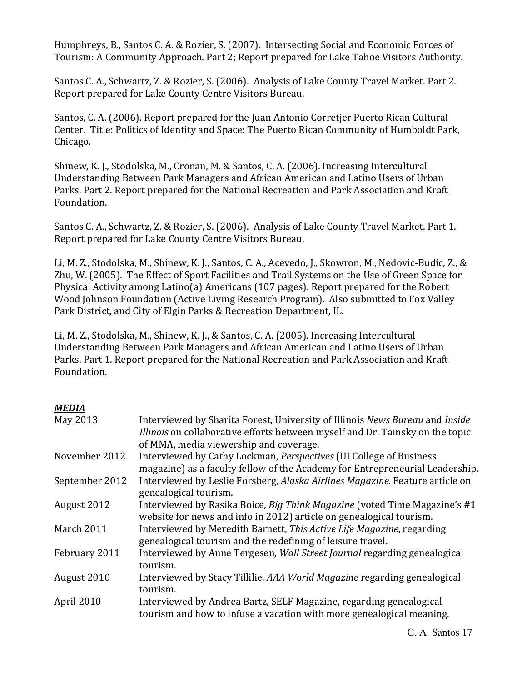Humphreys, B., Santos C. A. & Rozier, S. (2007). Intersecting Social and Economic Forces of Tourism: A Community Approach. Part 2; Report prepared for Lake Tahoe Visitors Authority.

Santos C. A., Schwartz, Z. & Rozier, S. (2006). Analysis of Lake County Travel Market. Part 2. Report prepared for Lake County Centre Visitors Bureau.

Santos, C. A. (2006). Report prepared for the Juan Antonio Corretjer Puerto Rican Cultural Center. Title: Politics of Identity and Space: The Puerto Rican Community of Humboldt Park, Chicago. 

Shinew, K. J., Stodolska, M., Cronan, M. & Santos, C. A. (2006). Increasing Intercultural Understanding Between Park Managers and African American and Latino Users of Urban Parks. Part 2. Report prepared for the National Recreation and Park Association and Kraft Foundation. 

Santos C. A., Schwartz, Z. & Rozier, S. (2006). Analysis of Lake County Travel Market. Part 1. Report prepared for Lake County Centre Visitors Bureau.

Li, M. Z., Stodolska, M., Shinew, K. J., Santos, C. A., Acevedo, J., Skowron, M., Nedovic-Budic, Z., & Zhu, W. (2005). The Effect of Sport Facilities and Trail Systems on the Use of Green Space for Physical Activity among Latino(a) Americans  $(107$  pages). Report prepared for the Robert Wood Johnson Foundation (Active Living Research Program). Also submitted to Fox Valley Park District, and City of Elgin Parks & Recreation Department, IL.

Li, M. Z., Stodolska, M., Shinew, K. J., & Santos, C. A. (2005). Increasing Intercultural Understanding Between Park Managers and African American and Latino Users of Urban Parks. Part 1. Report prepared for the National Recreation and Park Association and Kraft Foundation. 

# *MEDIA*

| May 2013       | Interviewed by Sharita Forest, University of Illinois News Bureau and Inside<br>Illinois on collaborative efforts between myself and Dr. Tainsky on the topic<br>of MMA, media viewership and coverage. |
|----------------|---------------------------------------------------------------------------------------------------------------------------------------------------------------------------------------------------------|
| November 2012  | Interviewed by Cathy Lockman, Perspectives (UI College of Business                                                                                                                                      |
|                | magazine) as a faculty fellow of the Academy for Entrepreneurial Leadership.                                                                                                                            |
| September 2012 | Interviewed by Leslie Forsberg, Alaska Airlines Magazine. Feature article on<br>genealogical tourism.                                                                                                   |
| August 2012    | Interviewed by Rasika Boice, Big Think Magazine (voted Time Magazine's #1<br>website for news and info in 2012) article on genealogical tourism.                                                        |
| March 2011     | Interviewed by Meredith Barnett, This Active Life Magazine, regarding<br>genealogical tourism and the redefining of leisure travel.                                                                     |
| February 2011  | Interviewed by Anne Tergesen, Wall Street Journal regarding genealogical<br>tourism.                                                                                                                    |
| August 2010    | Interviewed by Stacy Tillilie, AAA World Magazine regarding genealogical<br>tourism.                                                                                                                    |
| April 2010     | Interviewed by Andrea Bartz, SELF Magazine, regarding genealogical<br>tourism and how to infuse a vacation with more genealogical meaning.                                                              |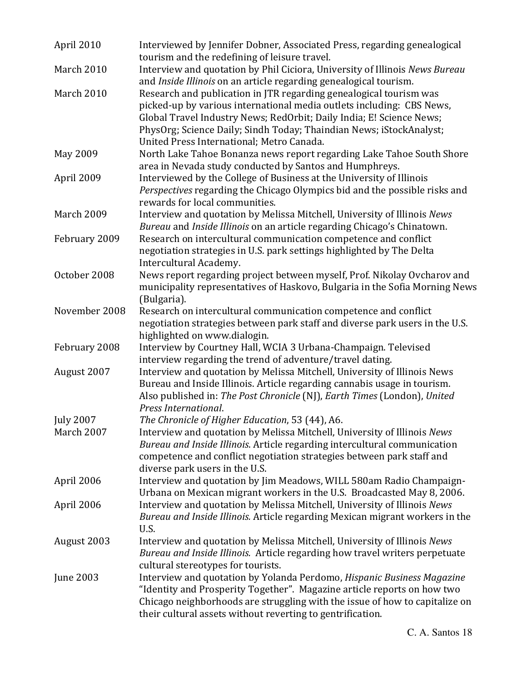| April 2010       | Interviewed by Jennifer Dobner, Associated Press, regarding genealogical<br>tourism and the redefining of leisure travel. |
|------------------|---------------------------------------------------------------------------------------------------------------------------|
| March 2010       | Interview and quotation by Phil Ciciora, University of Illinois News Bureau                                               |
|                  | and Inside Illinois on an article regarding genealogical tourism.                                                         |
| March 2010       | Research and publication in JTR regarding genealogical tourism was                                                        |
|                  | picked-up by various international media outlets including: CBS News,                                                     |
|                  | Global Travel Industry News; RedOrbit; Daily India; E! Science News;                                                      |
|                  | PhysOrg; Science Daily; Sindh Today; Thaindian News; iStockAnalyst;                                                       |
|                  | United Press International; Metro Canada.                                                                                 |
| May 2009         | North Lake Tahoe Bonanza news report regarding Lake Tahoe South Shore                                                     |
|                  | area in Nevada study conducted by Santos and Humphreys.                                                                   |
| April 2009       | Interviewed by the College of Business at the University of Illinois                                                      |
|                  | Perspectives regarding the Chicago Olympics bid and the possible risks and                                                |
|                  | rewards for local communities.                                                                                            |
| March 2009       | Interview and quotation by Melissa Mitchell, University of Illinois News                                                  |
|                  | Bureau and Inside Illinois on an article regarding Chicago's Chinatown.                                                   |
| February 2009    | Research on intercultural communication competence and conflict                                                           |
|                  | negotiation strategies in U.S. park settings highlighted by The Delta                                                     |
|                  | Intercultural Academy.                                                                                                    |
| October 2008     | News report regarding project between myself, Prof. Nikolay Ovcharov and                                                  |
|                  | municipality representatives of Haskovo, Bulgaria in the Sofia Morning News                                               |
|                  | (Bulgaria).                                                                                                               |
| November 2008    | Research on intercultural communication competence and conflict                                                           |
|                  | negotiation strategies between park staff and diverse park users in the U.S.                                              |
|                  | highlighted on www.dialogin.                                                                                              |
| February 2008    | Interview by Courtney Hall, WCIA 3 Urbana-Champaign. Televised                                                            |
|                  | interview regarding the trend of adventure/travel dating.                                                                 |
|                  | Interview and quotation by Melissa Mitchell, University of Illinois News                                                  |
| August 2007      |                                                                                                                           |
|                  | Bureau and Inside Illinois. Article regarding cannabis usage in tourism.                                                  |
|                  | Also published in: The Post Chronicle (NJ), Earth Times (London), United                                                  |
|                  | Press International.                                                                                                      |
| <b>July 2007</b> | The Chronicle of Higher Education, 53 (44), A6.                                                                           |
| March 2007       | Interview and quotation by Melissa Mitchell, University of Illinois News                                                  |
|                  | Bureau and Inside Illinois. Article regarding intercultural communication                                                 |
|                  | competence and conflict negotiation strategies between park staff and                                                     |
|                  | diverse park users in the U.S.                                                                                            |
| April 2006       | Interview and quotation by Jim Meadows, WILL 580am Radio Champaign-                                                       |
|                  | Urbana on Mexican migrant workers in the U.S. Broadcasted May 8, 2006.                                                    |
| April 2006       | Interview and quotation by Melissa Mitchell, University of Illinois News                                                  |
|                  | Bureau and Inside Illinois. Article regarding Mexican migrant workers in the                                              |
|                  | U.S.                                                                                                                      |
| August 2003      | Interview and quotation by Melissa Mitchell, University of Illinois News                                                  |
|                  | Bureau and Inside Illinois. Article regarding how travel writers perpetuate                                               |
|                  | cultural stereotypes for tourists.                                                                                        |
| <b>June 2003</b> | Interview and quotation by Yolanda Perdomo, Hispanic Business Magazine                                                    |
|                  | "Identity and Prosperity Together". Magazine article reports on how two                                                   |
|                  |                                                                                                                           |
|                  | Chicago neighborhoods are struggling with the issue of how to capitalize on                                               |
|                  | their cultural assets without reverting to gentrification.                                                                |